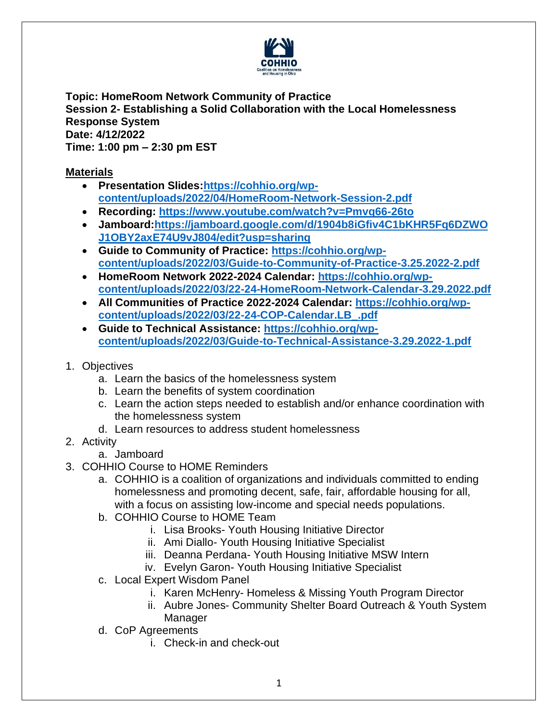

**Topic: HomeRoom Network Community of Practice Session 2- Establishing a Solid Collaboration with the Local Homelessness Response System Date: 4/12/2022 Time: 1:00 pm – 2:30 pm EST**

## **Materials**

- **Presentation Slides[:https://cohhio.org/wp](https://cohhio.org/wp-content/uploads/2022/04/HomeRoom-Network-Session-2.pdf)[content/uploads/2022/04/HomeRoom-Network-Session-2.pdf](https://cohhio.org/wp-content/uploads/2022/04/HomeRoom-Network-Session-2.pdf)**
- **Recording: <https://www.youtube.com/watch?v=Pmvq66-26to>**
- **Jamboard[:https://jamboard.google.com/d/1904b8iGfiv4C1bKHR5Fq6DZWO](https://jamboard.google.com/d/1904b8iGfiv4C1bKHR5Fq6DZWOJ1OBY2axE74U9vJ804/edit?usp=sharing) [J1OBY2axE74U9vJ804/edit?usp=sharing](https://jamboard.google.com/d/1904b8iGfiv4C1bKHR5Fq6DZWOJ1OBY2axE74U9vJ804/edit?usp=sharing)**
- **Guide to Community of Practice: [https://cohhio.org/wp](https://cohhio.org/wp-content/uploads/2022/03/Guide-to-Community-of-Practice-3.25.2022-2.pdf)[content/uploads/2022/03/Guide-to-Community-of-Practice-3.25.2022-2.pdf](https://cohhio.org/wp-content/uploads/2022/03/Guide-to-Community-of-Practice-3.25.2022-2.pdf)**
- **HomeRoom Network 2022-2024 Calendar: [https://cohhio.org/wp](https://cohhio.org/wp-content/uploads/2022/03/22-24-HomeRoom-Network-Calendar-3.29.2022.pdf)[content/uploads/2022/03/22-24-HomeRoom-Network-Calendar-3.29.2022.pdf](https://cohhio.org/wp-content/uploads/2022/03/22-24-HomeRoom-Network-Calendar-3.29.2022.pdf)**
- **All Communities of Practice 2022-2024 Calendar: [https://cohhio.org/wp](https://cohhio.org/wp-content/uploads/2022/03/22-24-COP-Calendar.LB_.pdf)[content/uploads/2022/03/22-24-COP-Calendar.LB\\_.pdf](https://cohhio.org/wp-content/uploads/2022/03/22-24-COP-Calendar.LB_.pdf)**
- **Guide to Technical Assistance: [https://cohhio.org/wp](https://cohhio.org/wp-content/uploads/2022/03/Guide-to-Technical-Assistance-3.29.2022-1.pdf)[content/uploads/2022/03/Guide-to-Technical-Assistance-3.29.2022-1.pdf](https://cohhio.org/wp-content/uploads/2022/03/Guide-to-Technical-Assistance-3.29.2022-1.pdf)**
- 1. Objectives
	- a. Learn the basics of the homelessness system
	- b. Learn the benefits of system coordination
	- c. Learn the action steps needed to establish and/or enhance coordination with the homelessness system
	- d. Learn resources to address student homelessness
- 2. Activity
	- a. Jamboard
- 3. COHHIO Course to HOME Reminders
	- a. COHHIO is a coalition of organizations and individuals committed to ending homelessness and promoting decent, safe, fair, affordable housing for all, with a focus on assisting low-income and special needs populations.
	- b. COHHIO Course to HOME Team
		- i. Lisa Brooks- Youth Housing Initiative Director
		- ii. Ami Diallo- Youth Housing Initiative Specialist
		- iii. Deanna Perdana- Youth Housing Initiative MSW Intern
		- iv. Evelyn Garon- Youth Housing Initiative Specialist
	- c. Local Expert Wisdom Panel
		- i. Karen McHenry- Homeless & Missing Youth Program Director
		- ii. Aubre Jones- Community Shelter Board Outreach & Youth System Manager
	- d. CoP Agreements
		- i. Check-in and check-out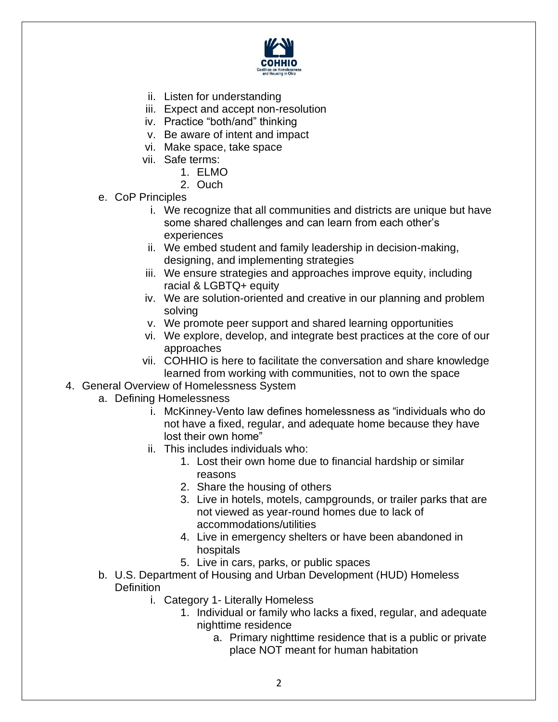

- ii. Listen for understanding
- iii. Expect and accept non-resolution
- iv. Practice "both/and" thinking
- v. Be aware of intent and impact
- vi. Make space, take space
- vii. Safe terms:
	- 1. ELMO
	- 2. Ouch
- e. CoP Principles
	- i. We recognize that all communities and districts are unique but have some shared challenges and can learn from each other's experiences
	- ii. We embed student and family leadership in decision-making, designing, and implementing strategies
	- iii. We ensure strategies and approaches improve equity, including racial & LGBTQ+ equity
	- iv. We are solution-oriented and creative in our planning and problem solving
	- v. We promote peer support and shared learning opportunities
	- vi. We explore, develop, and integrate best practices at the core of our approaches
	- vii. COHHIO is here to facilitate the conversation and share knowledge learned from working with communities, not to own the space
- 4. General Overview of Homelessness System
	- a. Defining Homelessness
		- i. McKinney-Vento law defines homelessness as "individuals who do not have a fixed, regular, and adequate home because they have lost their own home"
		- ii. This includes individuals who:
			- 1. Lost their own home due to financial hardship or similar reasons
			- 2. Share the housing of others
			- 3. Live in hotels, motels, campgrounds, or trailer parks that are not viewed as year-round homes due to lack of accommodations/utilities
			- 4. Live in emergency shelters or have been abandoned in hospitals
			- 5. Live in cars, parks, or public spaces
	- b. U.S. Department of Housing and Urban Development (HUD) Homeless **Definition** 
		- i. Category 1- Literally Homeless
			- 1. Individual or family who lacks a fixed, regular, and adequate nighttime residence
				- a. Primary nighttime residence that is a public or private place NOT meant for human habitation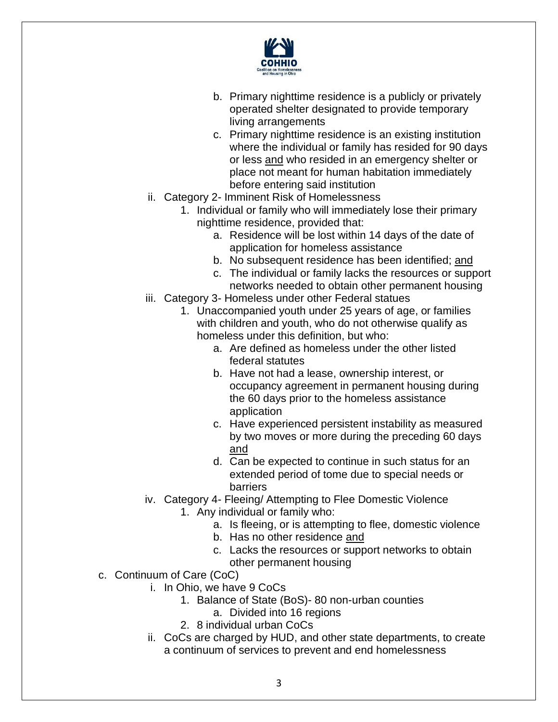

- b. Primary nighttime residence is a publicly or privately operated shelter designated to provide temporary living arrangements
- c. Primary nighttime residence is an existing institution where the individual or family has resided for 90 days or less and who resided in an emergency shelter or place not meant for human habitation immediately before entering said institution
- ii. Category 2- Imminent Risk of Homelessness
	- 1. Individual or family who will immediately lose their primary nighttime residence, provided that:
		- a. Residence will be lost within 14 days of the date of application for homeless assistance
		- b. No subsequent residence has been identified; and
		- c. The individual or family lacks the resources or support networks needed to obtain other permanent housing
- iii. Category 3- Homeless under other Federal statues
	- 1. Unaccompanied youth under 25 years of age, or families with children and youth, who do not otherwise qualify as homeless under this definition, but who:
		- a. Are defined as homeless under the other listed federal statutes
		- b. Have not had a lease, ownership interest, or occupancy agreement in permanent housing during the 60 days prior to the homeless assistance application
		- c. Have experienced persistent instability as measured by two moves or more during the preceding 60 days and
		- d. Can be expected to continue in such status for an extended period of tome due to special needs or barriers
- iv. Category 4- Fleeing/ Attempting to Flee Domestic Violence 1. Any individual or family who:
	- a. Is fleeing, or is attempting to flee, domestic violence
	- b. Has no other residence and
	- c. Lacks the resources or support networks to obtain other permanent housing
- c. Continuum of Care (CoC)
	- i. In Ohio, we have 9 CoCs
		- 1. Balance of State (BoS)- 80 non-urban counties
			- a. Divided into 16 regions
		- 2. 8 individual urban CoCs
		- ii. CoCs are charged by HUD, and other state departments, to create a continuum of services to prevent and end homelessness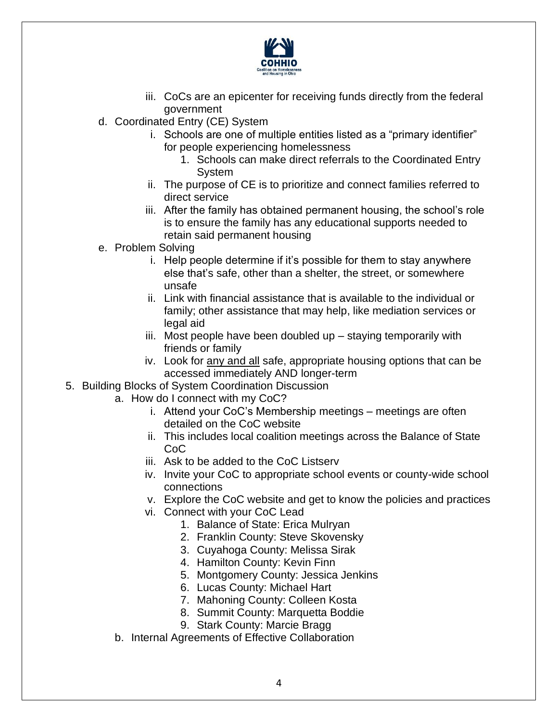

- iii. CoCs are an epicenter for receiving funds directly from the federal government
- d. Coordinated Entry (CE) System
	- i. Schools are one of multiple entities listed as a "primary identifier" for people experiencing homelessness
		- 1. Schools can make direct referrals to the Coordinated Entry System
	- ii. The purpose of CE is to prioritize and connect families referred to direct service
	- iii. After the family has obtained permanent housing, the school's role is to ensure the family has any educational supports needed to retain said permanent housing
- e. Problem Solving
	- i. Help people determine if it's possible for them to stay anywhere else that's safe, other than a shelter, the street, or somewhere unsafe
	- ii. Link with financial assistance that is available to the individual or family; other assistance that may help, like mediation services or legal aid
	- iii. Most people have been doubled up staying temporarily with friends or family
	- iv. Look for any and all safe, appropriate housing options that can be accessed immediately AND longer-term
- 5. Building Blocks of System Coordination Discussion
	- a. How do I connect with my CoC?
		- i. Attend your CoC's Membership meetings meetings are often detailed on the CoC website
		- ii. This includes local coalition meetings across the Balance of State CoC
		- iii. Ask to be added to the CoC Listserv
		- iv. Invite your CoC to appropriate school events or county-wide school connections
		- v. Explore the CoC website and get to know the policies and practices
		- vi. Connect with your CoC Lead
			- 1. Balance of State: Erica Mulryan
			- 2. Franklin County: Steve Skovensky
			- 3. Cuyahoga County: Melissa Sirak
			- 4. Hamilton County: Kevin Finn
			- 5. Montgomery County: Jessica Jenkins
			- 6. Lucas County: Michael Hart
			- 7. Mahoning County: Colleen Kosta
			- 8. Summit County: Marquetta Boddie
			- 9. Stark County: Marcie Bragg
	- b. Internal Agreements of Effective Collaboration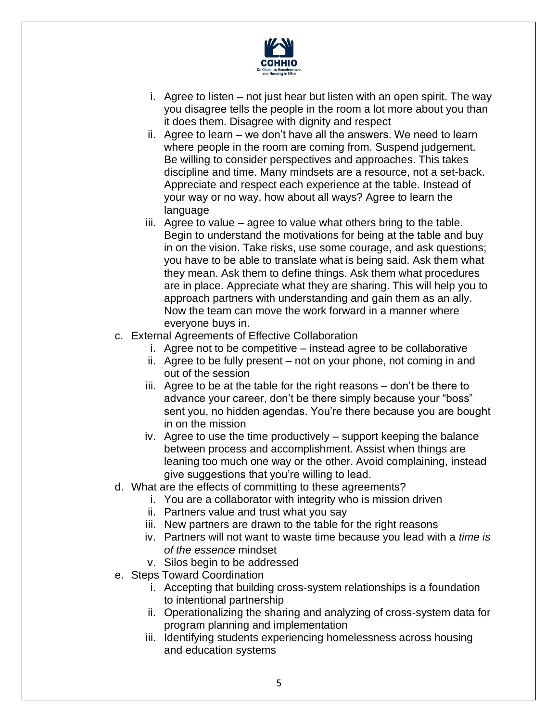

- i. Agree to listen not just hear but listen with an open spirit. The way you disagree tells the people in the room a lot more about you than it does them. Disagree with dignity and respect
- ii. Agree to learn we don't have all the answers. We need to learn where people in the room are coming from. Suspend judgement. Be willing to consider perspectives and approaches. This takes discipline and time. Many mindsets are a resource, not a set-back. Appreciate and respect each experience at the table. Instead of your way or no way, how about all ways? Agree to learn the language
- iii. Agree to value agree to value what others bring to the table. Begin to understand the motivations for being at the table and buy in on the vision. Take risks, use some courage, and ask questions; you have to be able to translate what is being said. Ask them what they mean. Ask them to define things. Ask them what procedures are in place. Appreciate what they are sharing. This will help you to approach partners with understanding and gain them as an ally. Now the team can move the work forward in a manner where everyone buys in.
- c. External Agreements of Effective Collaboration
	- i. Agree not to be competitive instead agree to be collaborative
	- ii. Agree to be fully present not on your phone, not coming in and out of the session
	- iii. Agree to be at the table for the right reasons don't be there to advance your career, don't be there simply because your "boss" sent you, no hidden agendas. You're there because you are bought in on the mission
	- iv. Agree to use the time productively support keeping the balance between process and accomplishment. Assist when things are leaning too much one way or the other. Avoid complaining, instead give suggestions that you're willing to lead.
- d. What are the effects of committing to these agreements?
	- i. You are a collaborator with integrity who is mission driven
	- ii. Partners value and trust what you say
	- iii. New partners are drawn to the table for the right reasons
	- iv. Partners will not want to waste time because you lead with a *time is of the essence* mindset
	- v. Silos begin to be addressed
- e. Steps Toward Coordination
	- i. Accepting that building cross-system relationships is a foundation to intentional partnership
	- ii. Operationalizing the sharing and analyzing of cross-system data for program planning and implementation
	- iii. Identifying students experiencing homelessness across housing and education systems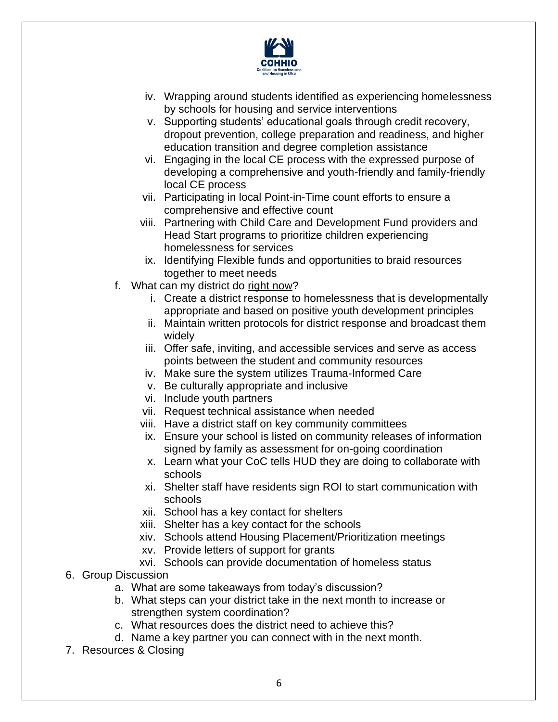

- iv. Wrapping around students identified as experiencing homelessness by schools for housing and service interventions
- v. Supporting students' educational goals through credit recovery, dropout prevention, college preparation and readiness, and higher education transition and degree completion assistance
- vi. Engaging in the local CE process with the expressed purpose of developing a comprehensive and youth-friendly and family-friendly local CE process
- vii. Participating in local Point-in-Time count efforts to ensure a comprehensive and effective count
- viii. Partnering with Child Care and Development Fund providers and Head Start programs to prioritize children experiencing homelessness for services
- ix. Identifying Flexible funds and opportunities to braid resources together to meet needs
- f. What can my district do right now?
	- i. Create a district response to homelessness that is developmentally appropriate and based on positive youth development principles
	- ii. Maintain written protocols for district response and broadcast them widely
	- iii. Offer safe, inviting, and accessible services and serve as access points between the student and community resources
	- iv. Make sure the system utilizes Trauma-Informed Care
	- v. Be culturally appropriate and inclusive
	- vi. Include youth partners
	- vii. Request technical assistance when needed
	- viii. Have a district staff on key community committees
	- ix. Ensure your school is listed on community releases of information signed by family as assessment for on-going coordination
	- x. Learn what your CoC tells HUD they are doing to collaborate with schools
	- xi. Shelter staff have residents sign ROI to start communication with schools
	- xii. School has a key contact for shelters
	- xiii. Shelter has a key contact for the schools
	- xiv. Schools attend Housing Placement/Prioritization meetings
	- xv. Provide letters of support for grants
	- xvi. Schools can provide documentation of homeless status
- 6. Group Discussion
	- a. What are some takeaways from today's discussion?
	- b. What steps can your district take in the next month to increase or strengthen system coordination?
	- c. What resources does the district need to achieve this?
	- d. Name a key partner you can connect with in the next month.
- 7. Resources & Closing